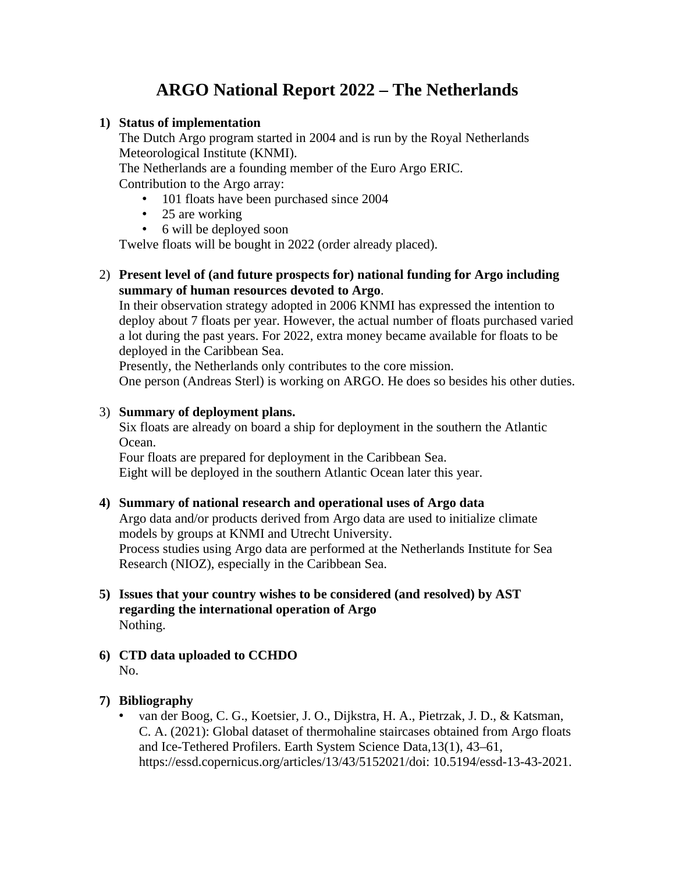# **ARGO National Report 2022 – The Netherlands**

### **1) Status of implementation**

The Dutch Argo program started in 2004 and is run by the Royal Netherlands Meteorological Institute (KNMI).

The Netherlands are a founding member of the Euro Argo ERIC. Contribution to the Argo array:

- 101 floats have been purchased since 2004
- 25 are working
- 6 will be deployed soon

Twelve floats will be bought in 2022 (order already placed).

# 2) **Present level of (and future prospects for) national funding for Argo including summary of human resources devoted to Argo**.

In their observation strategy adopted in 2006 KNMI has expressed the intention to deploy about 7 floats per year. However, the actual number of floats purchased varied a lot during the past years. For 2022, extra money became available for floats to be deployed in the Caribbean Sea.

Presently, the Netherlands only contributes to the core mission.

One person (Andreas Sterl) is working on ARGO. He does so besides his other duties.

#### 3) **Summary of deployment plans.**

Six floats are already on board a ship for deployment in the southern the Atlantic Ocean.

Four floats are prepared for deployment in the Caribbean Sea. Eight will be deployed in the southern Atlantic Ocean later this year.

# **4) Summary of national research and operational uses of Argo data**

Argo data and/or products derived from Argo data are used to initialize climate models by groups at KNMI and Utrecht University. Process studies using Argo data are performed at the Netherlands Institute for Sea Research (NIOZ), especially in the Caribbean Sea.

- **5) Issues that your country wishes to be considered (and resolved) by AST regarding the international operation of Argo** Nothing.
- **6) CTD data uploaded to CCHDO** No.

# **7) Bibliography**

• van der Boog, C. G., Koetsier, J. O., Dijkstra, H. A., Pietrzak, J. D., & Katsman, C. A. (2021): Global dataset of thermohaline staircases obtained from Argo floats and Ice-Tethered Profilers. Earth System Science Data,13(1), 43–61, https://essd.copernicus.org/articles/13/43/5152021/doi: 10.5194/essd-13-43-2021.